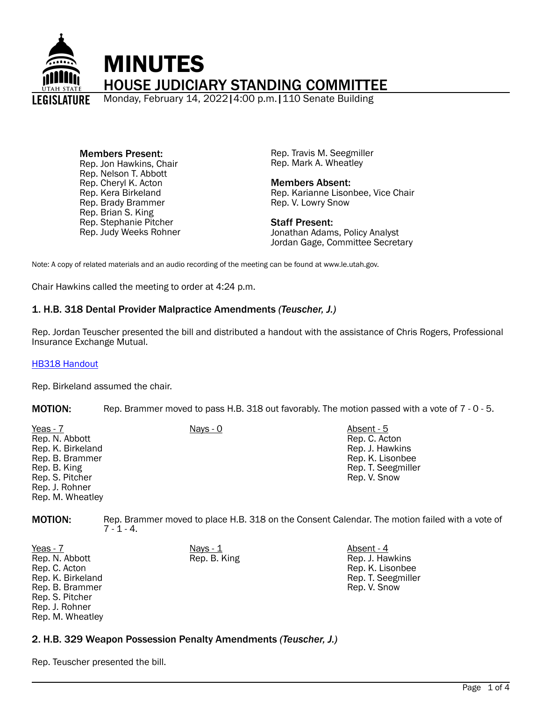

Members Present: Rep. Jon Hawkins, Chair Rep. Nelson T. Abbott Rep. Cheryl K. Acton Rep. Kera Birkeland Rep. Brady Brammer Rep. Brian S. King Rep. Stephanie Pitcher Rep. Judy Weeks Rohner Rep. Travis M. Seegmiller Rep. Mark A. Wheatley

Members Absent: Rep. Karianne Lisonbee, Vice Chair Rep. V. Lowry Snow

Staff Present: Jonathan Adams, Policy Analyst Jordan Gage, Committee Secretary

Note: A copy of related materials and an audio recording of the meeting can be found at www.le.utah.gov.

Chair Hawkins called the meeting to order at 4:24 p.m.

### 1. H.B. 318 Dental Provider Malpractice Amendments *(Teuscher, J.)*

Rep. Jordan Teuscher presented the bill and distributed a handout with the assistance of Chris Rogers, Professional Insurance Exchange Mutual.

#### [HB318 Handout](https://le.utah.gov/interim/2022/pdf/00001772.pdf)

Rep. Birkeland assumed the chair.

MOTION: Rep. Brammer moved to pass H.B. 318 out favorably. The motion passed with a vote of 7 - 0 - 5.

| Yeas - 7<br>Rep. N. Abbott<br>Rep. K. Birkeland<br>Rep. B. Brammer<br>Rep. B. King<br>Rep. S. Pitcher<br>Rep. J. Rohner | Nays - 0 | Absent - 5<br>Rep. C. Acton<br>Rep. J. Hawkins<br>Rep. K. Lisonbee<br>Rep. T. Seegmiller<br>Rep. V. Snow |
|-------------------------------------------------------------------------------------------------------------------------|----------|----------------------------------------------------------------------------------------------------------|
| Rep. M. Wheatley                                                                                                        |          |                                                                                                          |

MOTION: Rep. Brammer moved to place H.B. 318 on the Consent Calendar. The motion failed with a vote of  $7 - 1 - 4$ .

<u>Yeas - 7</u> Nays - <u>1</u> Nays - <u>1</u> Nays - 1 Absent - 4 Rep. N. Abbott Rep. C. Acton Rep. K. Birkeland Rep. B. Brammer Rep. S. Pitcher Rep. J. Rohner Rep. M. Wheatley

Rep. B. King Rep. J. Hawkins Rep. K. Lisonbee Rep. T. Seegmiller Rep. V. Snow

## 2. H.B. 329 Weapon Possession Penalty Amendments *(Teuscher, J.)*

Rep. Teuscher presented the bill.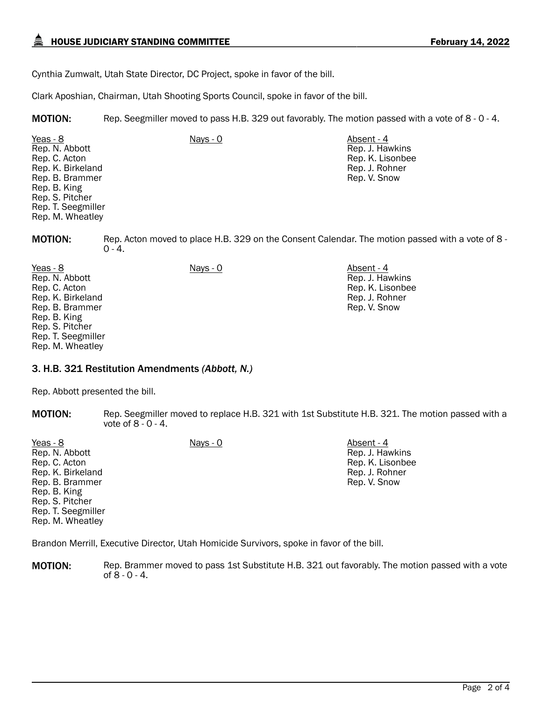Cynthia Zumwalt, Utah State Director, DC Project, spoke in favor of the bill.

Clark Aposhian, Chairman, Utah Shooting Sports Council, spoke in favor of the bill.

MOTION: Rep. Seegmiller moved to pass H.B. 329 out favorably. The motion passed with a vote of 8 - 0 - 4.

Yeas - 8 Nays - 0 Absent - 4 Rep. N. Abbott Rep. C. Acton Rep. K. Birkeland Rep. B. Brammer Rep. B. King Rep. S. Pitcher Rep. T. Seegmiller Rep. M. Wheatley

Rep. J. Hawkins Rep. K. Lisonbee Rep. J. Rohner Rep. V. Snow

MOTION: Rep. Acton moved to place H.B. 329 on the Consent Calendar. The motion passed with a vote of 8 -  $0 - 4.$ 

Yeas - 8 Nays - 0 Absent - 4 Rep. N. Abbott Rep. C. Acton Rep. K. Birkeland Rep. B. Brammer Rep. B. King Rep. S. Pitcher Rep. T. Seegmiller Rep. M. Wheatley

Rep. J. Hawkins Rep. K. Lisonbee Rep. J. Rohner Rep. V. Snow

### 3. H.B. 321 Restitution Amendments *(Abbott, N.)*

Rep. Abbott presented the bill.

MOTION: Rep. Seegmiller moved to replace H.B. 321 with 1st Substitute H.B. 321. The motion passed with a vote of 8 - 0 - 4.

| Yeas - 8           | Nays - 0 | Absent - 4       |
|--------------------|----------|------------------|
| Rep. N. Abbott     |          | Rep. J. Hawkins  |
| Rep. C. Acton      |          | Rep. K. Lisonbee |
| Rep. K. Birkeland  |          | Rep. J. Rohner   |
| Rep. B. Brammer    |          | Rep. V. Snow     |
| Rep. B. King       |          |                  |
| Rep. S. Pitcher    |          |                  |
| Rep. T. Seegmiller |          |                  |
| Rep. M. Wheatley   |          |                  |
|                    |          |                  |

Brandon Merrill, Executive Director, Utah Homicide Survivors, spoke in favor of the bill.

**MOTION:** Rep. Brammer moved to pass 1st Substitute H.B. 321 out favorably. The motion passed with a vote of 8 - 0 - 4.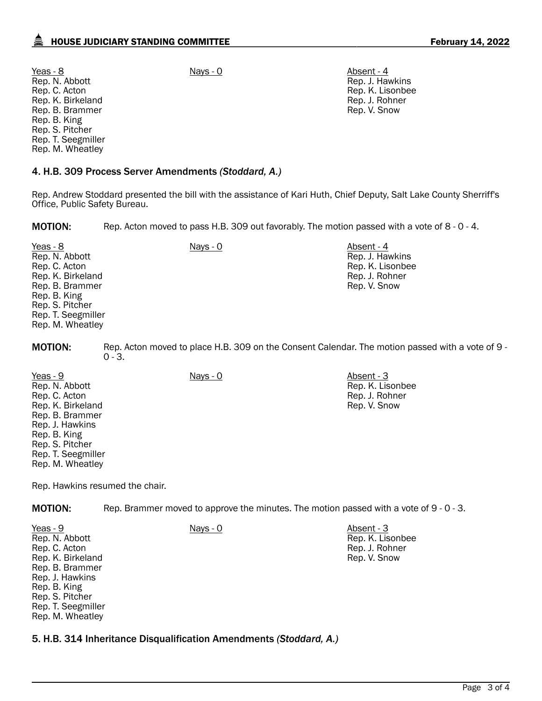Yeas - 8 Nays - 0 Absent - 4 Rep. N. Abbott Rep. C. Acton Rep. K. Birkeland Rep. B. Brammer Rep. B. King Rep. S. Pitcher Rep. T. Seegmiller Rep. M. Wheatley

### 4. H.B. 309 Process Server Amendments *(Stoddard, A.)*

Rep. Andrew Stoddard presented the bill with the assistance of Kari Huth, Chief Deputy, Salt Lake County Sherriff's Office, Public Safety Bureau.

**MOTION:** Rep. Acton moved to pass H.B. 309 out favorably. The motion passed with a vote of 8 - 0 - 4.

Yeas - 8 Nays - 0 Absent - 4 Rep. N. Abbott Rep. C. Acton Rep. K. Birkeland Rep. B. Brammer Rep. B. King Rep. S. Pitcher Rep. T. Seegmiller Rep. M. Wheatley Rep. J. Hawkins Rep. K. Lisonbee Rep. J. Rohner Rep. V. Snow

MOTION: Rep. Acton moved to place H.B. 309 on the Consent Calendar. The motion passed with a vote of 9 -  $0 - 3.$ 

Yeas - 9 Nays - 0 Absent - 3 Rep. N. Abbott Rep. C. Acton Rep. K. Birkeland Rep. B. Brammer Rep. J. Hawkins Rep. B. King Rep. S. Pitcher Rep. T. Seegmiller Rep. M. Wheatley

Rep. Hawkins resumed the chair.

**MOTION:** Rep. Brammer moved to approve the minutes. The motion passed with a vote of 9 - 0 - 3.

| Yeas - 9           | Nays - 0 | Absent - 3       |
|--------------------|----------|------------------|
| Rep. N. Abbott     |          | Rep. K. Lisonbee |
| Rep. C. Acton      |          | Rep. J. Rohner   |
| Rep. K. Birkeland  |          | Rep. V. Snow     |
| Rep. B. Brammer    |          |                  |
| Rep. J. Hawkins    |          |                  |
| Rep. B. King       |          |                  |
| Rep. S. Pitcher    |          |                  |
| Rep. T. Seegmiller |          |                  |
| Rep. M. Wheatley   |          |                  |

### 5. H.B. 314 Inheritance Disqualification Amendments *(Stoddard, A.)*

Rep. J. Hawkins Rep. K. Lisonbee Rep. J. Rohner Rep. V. Snow

Rep. K. Lisonbee Rep. J. Rohner Rep. V. Snow